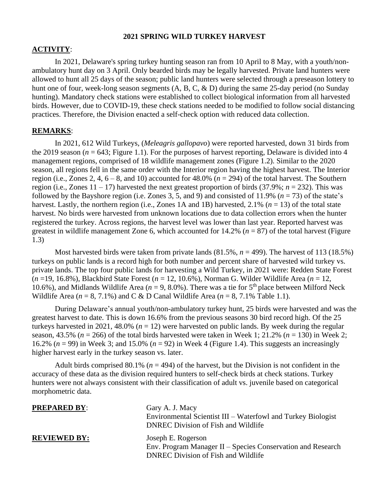### **2021 SPRING WILD TURKEY HARVEST**

#### **ACTIVITY**:

In 2021, Delaware's spring turkey hunting season ran from 10 April to 8 May, with a youth/nonambulatory hunt day on 3 April. Only bearded birds may be legally harvested. Private land hunters were allowed to hunt all 25 days of the season; public land hunters were selected through a preseason lottery to hunt one of four, week-long season segments (A, B, C, & D) during the same 25-day period (no Sunday hunting). Mandatory check stations were established to collect biological information from all harvested birds. However, due to COVID-19, these check stations needed to be modified to follow social distancing practices. Therefore, the Division enacted a self-check option with reduced data collection.

# **REMARKS**:

In 2021, 612 Wild Turkeys, (*Meleagris gallopavo*) were reported harvested, down 31 birds from the 2019 season  $(n = 643$ ; Figure 1.1). For the purposes of harvest reporting, Delaware is divided into 4 management regions, comprised of 18 wildlife management zones (Figure 1.2). Similar to the 2020 season, all regions fell in the same order with the Interior region having the highest harvest. The Interior region (i.e., Zones 2, 4,  $6 - 8$ , and 10) accounted for 48.0% ( $n = 294$ ) of the total harvest. The Southern region (i.e., Zones  $11 - 17$ ) harvested the next greatest proportion of birds (37.9%;  $n = 232$ ). This was followed by the Bayshore region (i.e. Zones 3, 5, and 9) and consisted of 11.9% ( $n = 73$ ) of the state's harvest. Lastly, the northern region (i.e., Zones 1A and 1B) harvested, 2.1% (*n* = 13) of the total state harvest. No birds were harvested from unknown locations due to data collection errors when the hunter registered the turkey. Across regions, the harvest level was lower than last year. Reported harvest was greatest in wildlife management Zone 6, which accounted for  $14.2\%$  ( $n = 87$ ) of the total harvest (Figure 1.3)

Most harvested birds were taken from private lands  $(81.5\%, n = 499)$ . The harvest of 113 (18.5%) turkeys on public lands is a record high for both number and percent share of harvested wild turkey vs. private lands. The top four public lands for harvesting a Wild Turkey, in 2021 were: Redden State Forest (*n* =19, 16.8%), Blackbird State Forest (*n* = 12, 10.6%), Norman G. Wilder Wildlife Area (*n* = 12, 10.6%), and Midlands Wildlife Area ( $n = 9, 8.0$ %). There was a tie for 5<sup>th</sup> place between Milford Neck Wildlife Area  $(n = 8, 7.1\%)$  and C & D Canal Wildlife Area  $(n = 8, 7.1\%)$  Table 1.1).

During Delaware's annual youth/non-ambulatory turkey hunt, 25 birds were harvested and was the greatest harvest to date. This is down 16.6% from the previous seasons 30 bird record high. Of the 25 turkeys harvested in 2021, 48.0% (*n* = 12) were harvested on public lands. By week during the regular season, 43.5% ( $n = 266$ ) of the total birds harvested were taken in Week 1; 21.2% ( $n = 130$ ) in Week 2; 16.2% (*n* = 99) in Week 3; and 15.0% (*n* = 92) in Week 4 (Figure 1.4). This suggests an increasingly higher harvest early in the turkey season vs. later.

Adult birds comprised  $80.1\%$  ( $n = 494$ ) of the harvest, but the Division is not confident in the accuracy of these data as the division required hunters to self-check birds at check stations. Turkey hunters were not always consistent with their classification of adult vs. juvenile based on categorical morphometric data.

| <b>PREPARED BY:</b> | Gary A. J. Macy<br>Environmental Scientist III – Waterfowl and Turkey Biologist<br><b>DNREC Division of Fish and Wildlife</b> |  |  |  |
|---------------------|-------------------------------------------------------------------------------------------------------------------------------|--|--|--|
| <b>REVIEWED BY:</b> | Joseph E. Rogerson<br>Env. Program Manager II – Species Conservation and Research<br>DNREC Division of Fish and Wildlife      |  |  |  |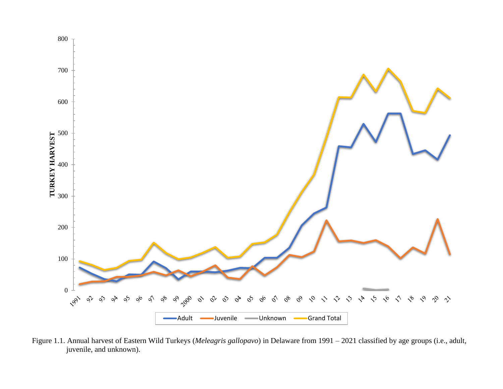

Figure 1.1. Annual harvest of Eastern Wild Turkeys (*Meleagris gallopavo*) in Delaware from 1991 – 2021 classified by age groups (i.e., adult, juvenile, and unknown).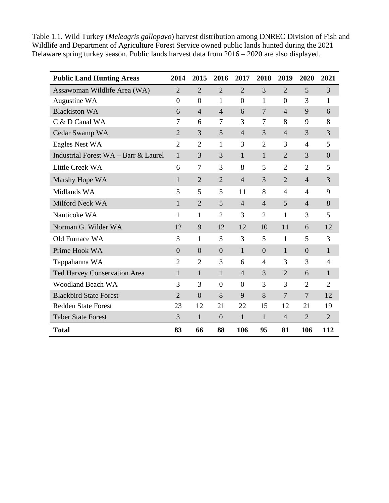Table 1.1. Wild Turkey (*Meleagris gallopavo*) harvest distribution among DNREC Division of Fish and Wildlife and Department of Agriculture Forest Service owned public lands hunted during the 2021 Delaware spring turkey season. Public lands harvest data from 2016 – 2020 are also displayed.

| <b>Public Land Hunting Areas</b>     | 2014             | 2015           | 2016             | 2017           | 2018           | 2019           | 2020           | 2021           |
|--------------------------------------|------------------|----------------|------------------|----------------|----------------|----------------|----------------|----------------|
| Assawoman Wildlife Area (WA)         | $\overline{2}$   | $\overline{2}$ | $\overline{2}$   | $\overline{2}$ | 3              | $\overline{2}$ | 5              | 3              |
| Augustine WA                         | $\boldsymbol{0}$ | $\overline{0}$ | $\mathbf{1}$     | $\overline{0}$ | $\mathbf{1}$   | $\overline{0}$ | 3              | 1              |
| <b>Blackiston WA</b>                 | 6                | $\overline{4}$ | $\overline{4}$   | 6              | $\overline{7}$ | $\overline{4}$ | 9              | 6              |
| C & D Canal WA                       | 7                | 6              | $\tau$           | 3              | 7              | 8              | 9              | 8              |
| Cedar Swamp WA                       | $\overline{2}$   | 3              | 5                | $\overline{4}$ | 3              | $\overline{4}$ | 3              | 3              |
| Eagles Nest WA                       | $\overline{2}$   | $\overline{2}$ | $\mathbf{1}$     | 3              | $\overline{2}$ | 3              | $\overline{4}$ | 5              |
| Industrial Forest WA - Barr & Laurel | $\mathbf{1}$     | 3              | 3                | $\mathbf{1}$   | $\mathbf{1}$   | $\overline{2}$ | 3              | $\overline{0}$ |
| Little Creek WA                      | 6                | 7              | 3                | 8              | 5              | $\overline{2}$ | $\overline{2}$ | 5              |
| Marshy Hope WA                       | 1                | $\overline{2}$ | $\overline{2}$   | $\overline{4}$ | 3              | $\overline{2}$ | $\overline{4}$ | 3              |
| Midlands WA                          | 5                | 5              | 5                | 11             | 8              | $\overline{4}$ | $\overline{4}$ | 9              |
| Milford Neck WA                      | 1                | $\overline{2}$ | 5                | $\overline{4}$ | $\overline{4}$ | 5              | $\overline{4}$ | 8              |
| Nanticoke WA                         | 1                | 1              | $\overline{2}$   | 3              | $\overline{2}$ | $\mathbf{1}$   | 3              | 5              |
| Norman G. Wilder WA                  | 12               | 9              | 12               | 12             | 10             | 11             | 6              | 12             |
| Old Furnace WA                       | 3                | 1              | 3                | 3              | 5              | $\mathbf{1}$   | 5              | 3              |
| Prime Hook WA                        | $\overline{0}$   | $\overline{0}$ | $\overline{0}$   | $\mathbf{1}$   | $\overline{0}$ | $\mathbf{1}$   | $\overline{0}$ | $\mathbf{1}$   |
| Tappahanna WA                        | $\overline{2}$   | $\overline{2}$ | 3                | 6              | $\overline{4}$ | 3              | 3              | $\overline{4}$ |
| <b>Ted Harvey Conservation Area</b>  | $\mathbf{1}$     | 1              | $\mathbf{1}$     | $\overline{4}$ | 3              | $\overline{2}$ | 6              | $\mathbf{1}$   |
| <b>Woodland Beach WA</b>             | 3                | 3              | $\boldsymbol{0}$ | $\overline{0}$ | 3              | 3              | $\overline{2}$ | $\overline{2}$ |
| <b>Blackbird State Forest</b>        | $\overline{2}$   | $\overline{0}$ | 8                | 9              | 8              | $\overline{7}$ | $\overline{7}$ | 12             |
| <b>Redden State Forest</b>           | 23               | 12             | 21               | 22             | 15             | 12             | 21             | 19             |
| <b>Taber State Forest</b>            | 3                | $\mathbf{1}$   | $\boldsymbol{0}$ | $\mathbf{1}$   | $\mathbf{1}$   | $\overline{4}$ | $\overline{2}$ | $\overline{2}$ |
| <b>Total</b>                         | 83               | 66             | 88               | 106            | 95             | 81             | 106            | 112            |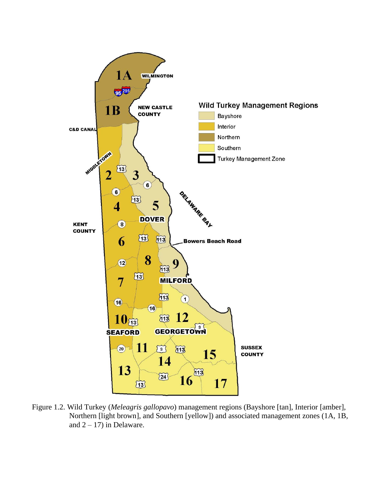

Figure 1.2. Wild Turkey (*Meleagris gallopavo*) management regions (Bayshore [tan], Interior [amber], Northern [light brown], and Southern [yellow]) and associated management zones (1A, 1B, and  $2 - 17$ ) in Delaware.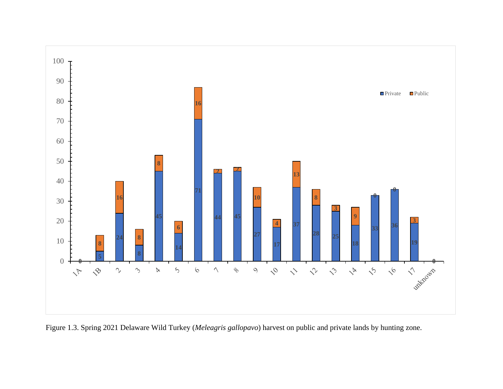

Figure 1.3. Spring 2021 Delaware Wild Turkey (*Meleagris gallopavo*) harvest on public and private lands by hunting zone.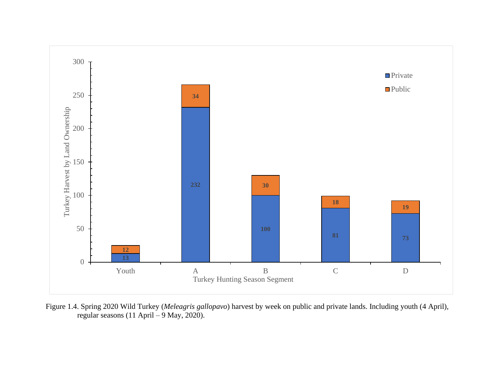

Figure 1.4. Spring 2020 Wild Turkey (*Meleagris gallopavo*) harvest by week on public and private lands. Including youth (4 April), regular seasons (11 April – 9 May, 2020).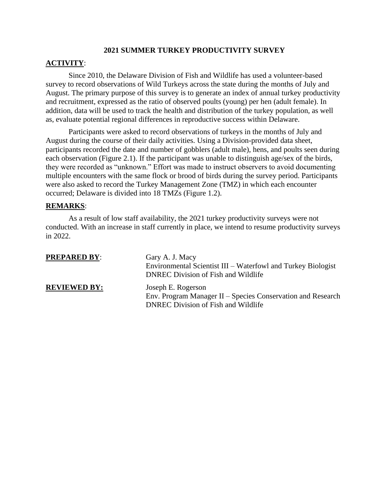#### **2021 SUMMER TURKEY PRODUCTIVITY SURVEY**

### **ACTIVITY**:

Since 2010, the Delaware Division of Fish and Wildlife has used a volunteer-based survey to record observations of Wild Turkeys across the state during the months of July and August. The primary purpose of this survey is to generate an index of annual turkey productivity and recruitment, expressed as the ratio of observed poults (young) per hen (adult female). In addition, data will be used to track the health and distribution of the turkey population, as well as, evaluate potential regional differences in reproductive success within Delaware.

Participants were asked to record observations of turkeys in the months of July and August during the course of their daily activities. Using a Division-provided data sheet, participants recorded the date and number of gobblers (adult male), hens, and poults seen during each observation (Figure 2.1). If the participant was unable to distinguish age/sex of the birds, they were recorded as "unknown." Effort was made to instruct observers to avoid documenting multiple encounters with the same flock or brood of birds during the survey period. Participants were also asked to record the Turkey Management Zone (TMZ) in which each encounter occurred; Delaware is divided into 18 TMZs (Figure 1.2).

#### **REMARKS**:

As a result of low staff availability, the 2021 turkey productivity surveys were not conducted. With an increase in staff currently in place, we intend to resume productivity surveys in 2022.

| <b>PREPARED BY:</b> | Gary A. J. Macy<br>Environmental Scientist III – Waterfowl and Turkey Biologist<br><b>DNREC Division of Fish and Wildlife</b>   |
|---------------------|---------------------------------------------------------------------------------------------------------------------------------|
| <b>REVIEWED BY:</b> | Joseph E. Rogerson<br>Env. Program Manager II – Species Conservation and Research<br><b>DNREC Division of Fish and Wildlife</b> |